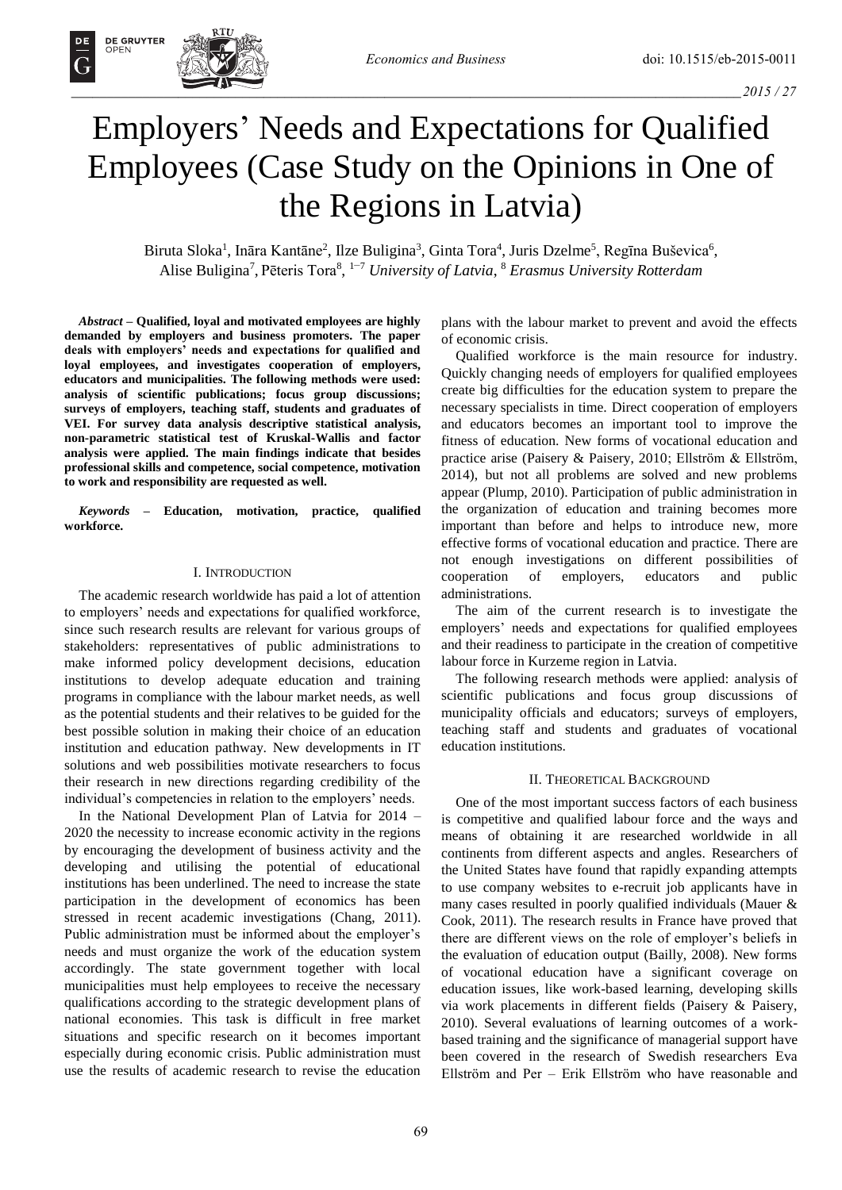# Employers' Needs and Expectations for Qualified Employees (Case Study on the Opinions in One of the Regions in Latvia)

Biruta Sloka<sup>1</sup>, Ināra Kantāne<sup>2</sup>, Ilze Buligina<sup>3</sup>, Ginta Tora<sup>4</sup>, Juris Dzelme<sup>5</sup>, Regīna Buševica<sup>6</sup>, Alise Buligina<sup>7</sup>, Pēteris Tora<sup>8</sup>, <sup>1–7</sup> *University of Latvia*, <sup>8</sup> *Erasmus University Rotterdam* 

*Abstract –* **Qualified, loyal and motivated employees are highly demanded by employers and business promoters. The paper deals with employers' needs and expectations for qualified and loyal employees, and investigates cooperation of employers, educators and municipalities. The following methods were used: analysis of scientific publications; focus group discussions; surveys of employers, teaching staff, students and graduates of VEI. For survey data analysis descriptive statistical analysis, non-parametric statistical test of Kruskal-Wallis and factor analysis were applied. The main findings indicate that besides professional skills and competence, social competence, motivation to work and responsibility are requested as well.** 

*Keywords* **– Education, motivation, practice, qualified workforce.** 

## I. INTRODUCTION

The academic research worldwide has paid a lot of attention to employers' needs and expectations for qualified workforce, since such research results are relevant for various groups of stakeholders: representatives of public administrations to make informed policy development decisions, education institutions to develop adequate education and training programs in compliance with the labour market needs, as well as the potential students and their relatives to be guided for the best possible solution in making their choice of an education institution and education pathway. New developments in IT solutions and web possibilities motivate researchers to focus their research in new directions regarding credibility of the individual's competencies in relation to the employers' needs.

In the National Development Plan of Latvia for 2014 – 2020 the necessity to increase economic activity in the regions by encouraging the development of business activity and the developing and utilising the potential of educational institutions has been underlined. The need to increase the state participation in the development of economics has been stressed in recent academic investigations (Chang, 2011). Public administration must be informed about the employer's needs and must organize the work of the education system accordingly. The state government together with local municipalities must help employees to receive the necessary qualifications according to the strategic development plans of national economies. This task is difficult in free market situations and specific research on it becomes important especially during economic crisis. Public administration must use the results of academic research to revise the education plans with the labour market to prevent and avoid the effects of economic crisis.

Qualified workforce is the main resource for industry. Quickly changing needs of employers for qualified employees create big difficulties for the education system to prepare the necessary specialists in time. Direct cooperation of employers and educators becomes an important tool to improve the fitness of education. New forms of vocational education and practice arise (Paisery & Paisery, 2010; Ellström & Ellström, 2014), but not all problems are solved and new problems appear (Plump, 2010). Participation of public administration in the organization of education and training becomes more important than before and helps to introduce new, more effective forms of vocational education and practice. There are not enough investigations on different possibilities of cooperation of employers, educators and public administrations.

The aim of the current research is to investigate the employers' needs and expectations for qualified employees and their readiness to participate in the creation of competitive labour force in Kurzeme region in Latvia.

The following research methods were applied: analysis of scientific publications and focus group discussions of municipality officials and educators; surveys of employers, teaching staff and students and graduates of vocational education institutions.

# II. THEORETICAL BACKGROUND

One of the most important success factors of each business is competitive and qualified labour force and the ways and means of obtaining it are researched worldwide in all continents from different aspects and angles. Researchers of the United States have found that rapidly expanding attempts to use company websites to e-recruit job applicants have in many cases resulted in poorly qualified individuals (Mauer & Cook, 2011). The research results in France have proved that there are different views on the role of employer's beliefs in the evaluation of education output (Bailly, 2008). New forms of vocational education have a significant coverage on education issues, like work-based learning, developing skills via work placements in different fields (Paisery & Paisery, 2010). Several evaluations of learning outcomes of a workbased training and the significance of managerial support have been covered in the research of Swedish researchers Eva Ellström and Per – Erik Ellström who have reasonable and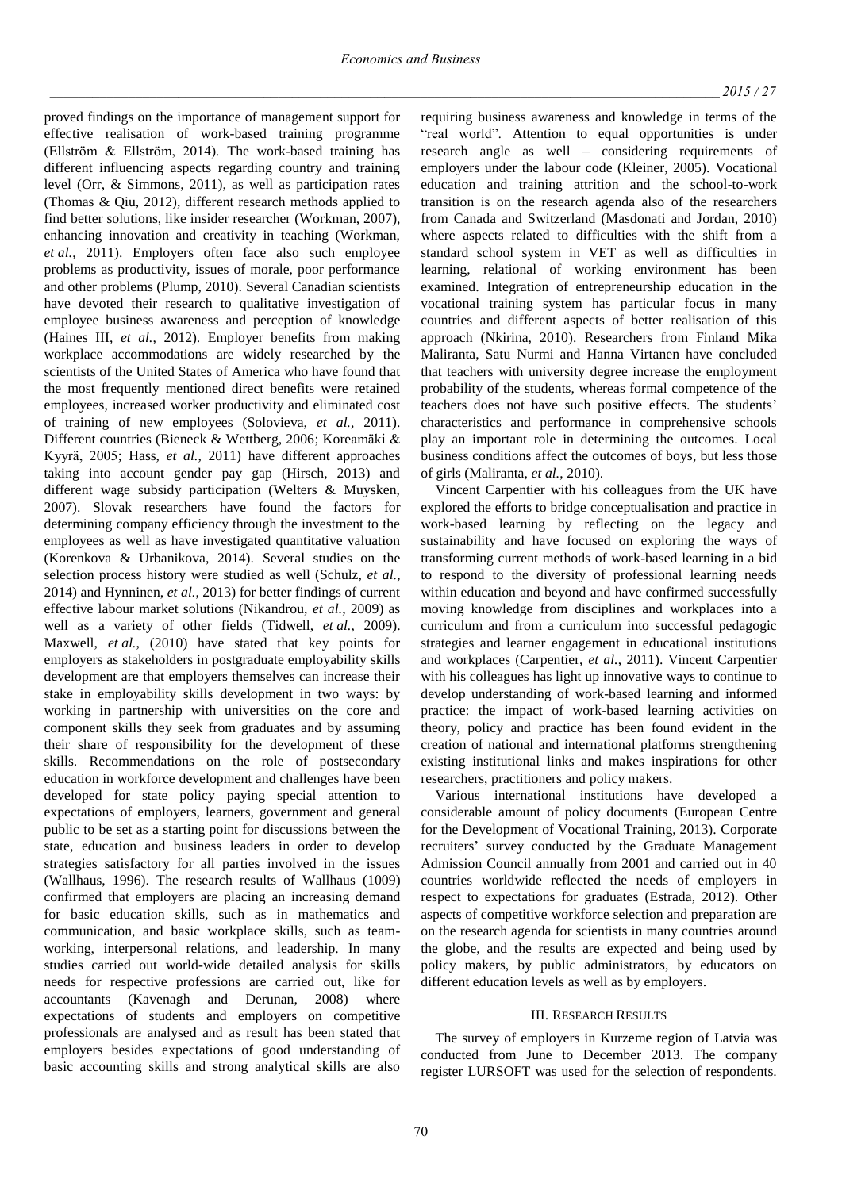proved findings on the importance of management support for effective realisation of work-based training programme (Ellström & Ellström, 2014). The work-based training has different influencing aspects regarding country and training level (Orr, & Simmons, 2011), as well as participation rates (Thomas & Qiu, 2012), different research methods applied to find better solutions, like insider researcher (Workman, 2007), enhancing innovation and creativity in teaching (Workman, *et al.*, 2011). Employers often face also such employee problems as productivity, issues of morale, poor performance and other problems (Plump, 2010). Several Canadian scientists have devoted their research to qualitative investigation of employee business awareness and perception of knowledge (Haines III, *et al.*, 2012). Employer benefits from making workplace accommodations are widely researched by the scientists of the United States of America who have found that the most frequently mentioned direct benefits were retained employees, increased worker productivity and eliminated cost of training of new employees (Solovieva, *et al.*, 2011). Different countries (Bieneck & Wettberg, 2006; Koreamäki & Kyyrä, 2005; Hass, *et al.*, 2011) have different approaches taking into account gender pay gap (Hirsch, 2013) and different wage subsidy participation (Welters & Muysken, 2007). Slovak researchers have found the factors for determining company efficiency through the investment to the employees as well as have investigated quantitative valuation (Korenkova & Urbanikova, 2014). Several studies on the selection process history were studied as well (Schulz, *et al.*, 2014) and Hynninen, *et al.*, 2013) for better findings of current effective labour market solutions (Nikandrou, *et al.*, 2009) as well as a variety of other fields (Tidwell, *et al.*, 2009). Maxwell, *et al.*, (2010) have stated that key points for employers as stakeholders in postgraduate employability skills development are that employers themselves can increase their stake in employability skills development in two ways: by working in partnership with universities on the core and component skills they seek from graduates and by assuming their share of responsibility for the development of these skills. Recommendations on the role of postsecondary education in workforce development and challenges have been developed for state policy paying special attention to expectations of employers, learners, government and general public to be set as a starting point for discussions between the state, education and business leaders in order to develop strategies satisfactory for all parties involved in the issues (Wallhaus, 1996). The research results of Wallhaus (1009) confirmed that employers are placing an increasing demand for basic education skills, such as in mathematics and communication, and basic workplace skills, such as teamworking, interpersonal relations, and leadership. In many studies carried out world-wide detailed analysis for skills needs for respective professions are carried out, like for accountants (Kavenagh and Derunan, 2008) where expectations of students and employers on competitive professionals are analysed and as result has been stated that employers besides expectations of good understanding of basic accounting skills and strong analytical skills are also

requiring business awareness and knowledge in terms of the "real world". Attention to equal opportunities is under research angle as well – considering requirements of employers under the labour code (Kleiner, 2005). Vocational education and training attrition and the school-to-work transition is on the research agenda also of the researchers from Canada and Switzerland (Masdonati and Jordan, 2010) where aspects related to difficulties with the shift from a standard school system in VET as well as difficulties in learning, relational of working environment has been examined. Integration of entrepreneurship education in the vocational training system has particular focus in many countries and different aspects of better realisation of this approach (Nkirina, 2010). Researchers from Finland Mika Maliranta, Satu Nurmi and Hanna Virtanen have concluded that teachers with university degree increase the employment probability of the students, whereas formal competence of the teachers does not have such positive effects. The students' characteristics and performance in comprehensive schools play an important role in determining the outcomes. Local business conditions affect the outcomes of boys, but less those of girls (Maliranta, *et al.*, 2010).

Vincent Carpentier with his colleagues from the UK have explored the efforts to bridge conceptualisation and practice in work-based learning by reflecting on the legacy and sustainability and have focused on exploring the ways of transforming current methods of work-based learning in a bid to respond to the diversity of professional learning needs within education and beyond and have confirmed successfully moving knowledge from disciplines and workplaces into a curriculum and from a curriculum into successful pedagogic strategies and learner engagement in educational institutions and workplaces (Carpentier, *et al.*, 2011). Vincent Carpentier with his colleagues has light up innovative ways to continue to develop understanding of work-based learning and informed practice: the impact of work-based learning activities on theory, policy and practice has been found evident in the creation of national and international platforms strengthening existing institutional links and makes inspirations for other researchers, practitioners and policy makers.

Various international institutions have developed a considerable amount of policy documents (European Centre for the Development of Vocational Training, 2013). Corporate recruiters' survey conducted by the Graduate Management Admission Council annually from 2001 and carried out in 40 countries worldwide reflected the needs of employers in respect to expectations for graduates (Estrada, 2012). Other aspects of competitive workforce selection and preparation are on the research agenda for scientists in many countries around the globe, and the results are expected and being used by policy makers, by public administrators, by educators on different education levels as well as by employers.

## III. RESEARCH RESULTS

The survey of employers in Kurzeme region of Latvia was conducted from June to December 2013. The company register LURSOFT was used for the selection of respondents.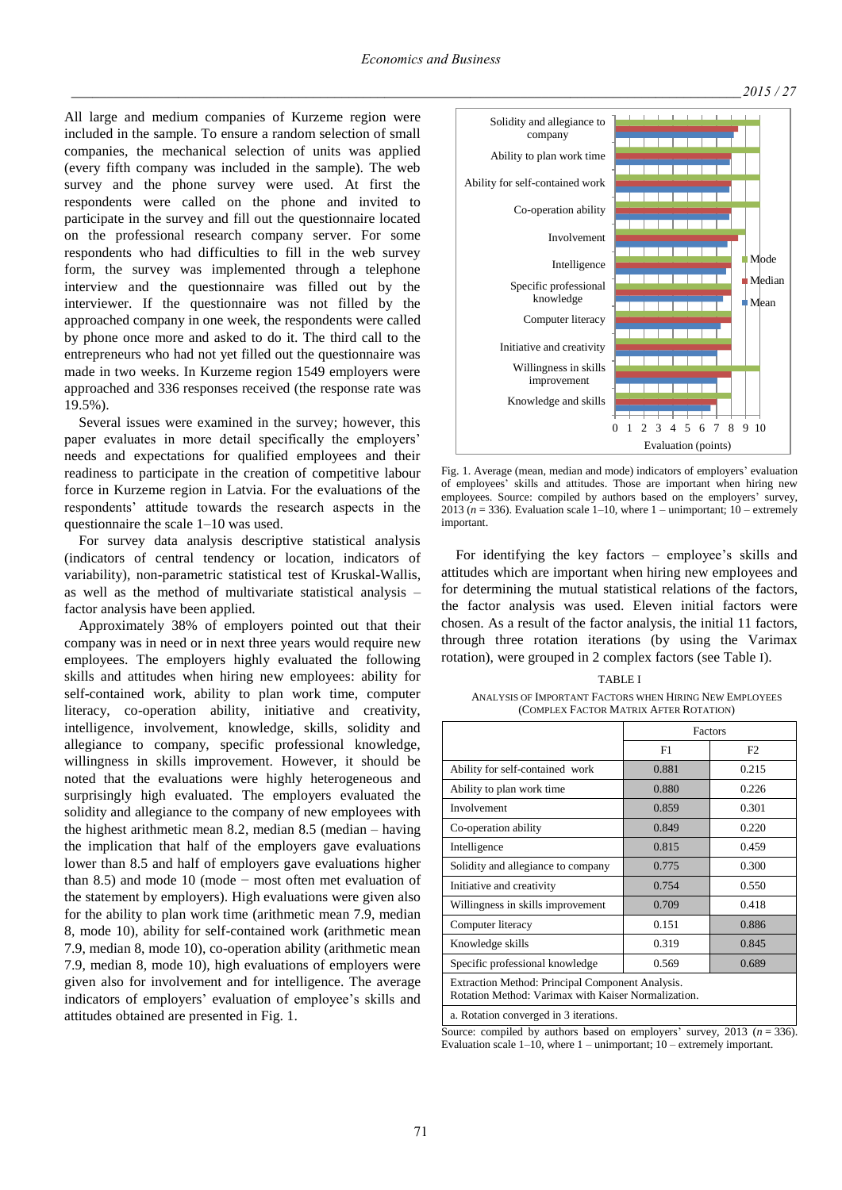All large and medium companies of Kurzeme region were included in the sample. To ensure a random selection of small companies, the mechanical selection of units was applied (every fifth company was included in the sample). The web survey and the phone survey were used. At first the respondents were called on the phone and invited to participate in the survey and fill out the questionnaire located on the professional research company server. For some respondents who had difficulties to fill in the web survey form, the survey was implemented through a telephone interview and the questionnaire was filled out by the interviewer. If the questionnaire was not filled by the approached company in one week, the respondents were called by phone once more and asked to do it. The third call to the entrepreneurs who had not yet filled out the questionnaire was made in two weeks. In Kurzeme region 1549 employers were approached and 336 responses received (the response rate was 19.5%).

Several issues were examined in the survey; however, this paper evaluates in more detail specifically the employers' needs and expectations for qualified employees and their readiness to participate in the creation of competitive labour force in Kurzeme region in Latvia. For the evaluations of the respondents' attitude towards the research aspects in the questionnaire the scale 1–10 was used.

For survey data analysis descriptive statistical analysis (indicators of central tendency or location, indicators of variability), non-parametric statistical test of Kruskal-Wallis, as well as the method of multivariate statistical analysis – factor analysis have been applied.

Approximately 38% of employers pointed out that their company was in need or in next three years would require new employees. The employers highly evaluated the following skills and attitudes when hiring new employees: ability for self-contained work, ability to plan work time, computer literacy, co-operation ability, initiative and creativity, intelligence, involvement, knowledge, skills, solidity and allegiance to company, specific professional knowledge, willingness in skills improvement. However, it should be noted that the evaluations were highly heterogeneous and surprisingly high evaluated. The employers evaluated the solidity and allegiance to the company of new employees with the highest arithmetic mean 8.2, median  $8.5$  (median – having the implication that half of the employers gave evaluations lower than 8.5 and half of employers gave evaluations higher than 8.5) and mode 10 (mode − most often met evaluation of the statement by employers). High evaluations were given also for the ability to plan work time (arithmetic mean 7.9, median 8, mode 10), ability for self-contained work **(**arithmetic mean 7.9, median 8, mode 10), co-operation ability (arithmetic mean 7.9, median 8, mode 10), high evaluations of employers were given also for involvement and for intelligence. The average indicators of employers' evaluation of employee's skills and attitudes obtained are presented in Fig. 1.



Fig. 1. Average (mean, median and mode) indicators of employers' evaluation of employees' skills and attitudes. Those are important when hiring new employees. Source: compiled by authors based on the employers' survey, 2013 ( $n = 336$ ). Evaluation scale 1–10, where 1 – unimportant; 10 – extremely important.

For identifying the key factors – employee's skills and attitudes which are important when hiring new employees and for determining the mutual statistical relations of the factors, the factor analysis was used. Eleven initial factors were chosen. As a result of the factor analysis, the initial 11 factors, through three rotation iterations (by using the Varimax rotation), were grouped in 2 complex factors (see Table I).

## TABLE I ANALYSIS OF IMPORTANT FACTORS WHEN HIRING NEW EMPLOYEES (COMPLEX FACTOR MATRIX AFTER ROTATION)

|                                                                                                         | Factors |       |  |  |  |
|---------------------------------------------------------------------------------------------------------|---------|-------|--|--|--|
|                                                                                                         | F1      | F2    |  |  |  |
| Ability for self-contained work                                                                         | 0.881   | 0.215 |  |  |  |
| Ability to plan work time                                                                               | 0.880   | 0.226 |  |  |  |
| Involvement                                                                                             | 0.859   | 0.301 |  |  |  |
| Co-operation ability                                                                                    | 0.849   | 0.220 |  |  |  |
| Intelligence                                                                                            | 0.815   | 0.459 |  |  |  |
| Solidity and allegiance to company                                                                      | 0.775   | 0.300 |  |  |  |
| Initiative and creativity                                                                               | 0.754   | 0.550 |  |  |  |
| Willingness in skills improvement                                                                       | 0.709   | 0.418 |  |  |  |
| Computer literacy                                                                                       | 0.151   | 0.886 |  |  |  |
| Knowledge skills                                                                                        | 0.319   | 0.845 |  |  |  |
| Specific professional knowledge                                                                         | 0.569   | 0.689 |  |  |  |
| Extraction Method: Principal Component Analysis.<br>Rotation Method: Varimax with Kaiser Normalization. |         |       |  |  |  |
| a. Datation conveyed in 2 items can                                                                     |         |       |  |  |  |

a. Rotation converged in 3 iterations.

Source: compiled by authors based on employers' survey, 2013  $(n = 336)$ . Evaluation scale  $1-10$ , where  $1-$  unimportant;  $10-$  extremely important.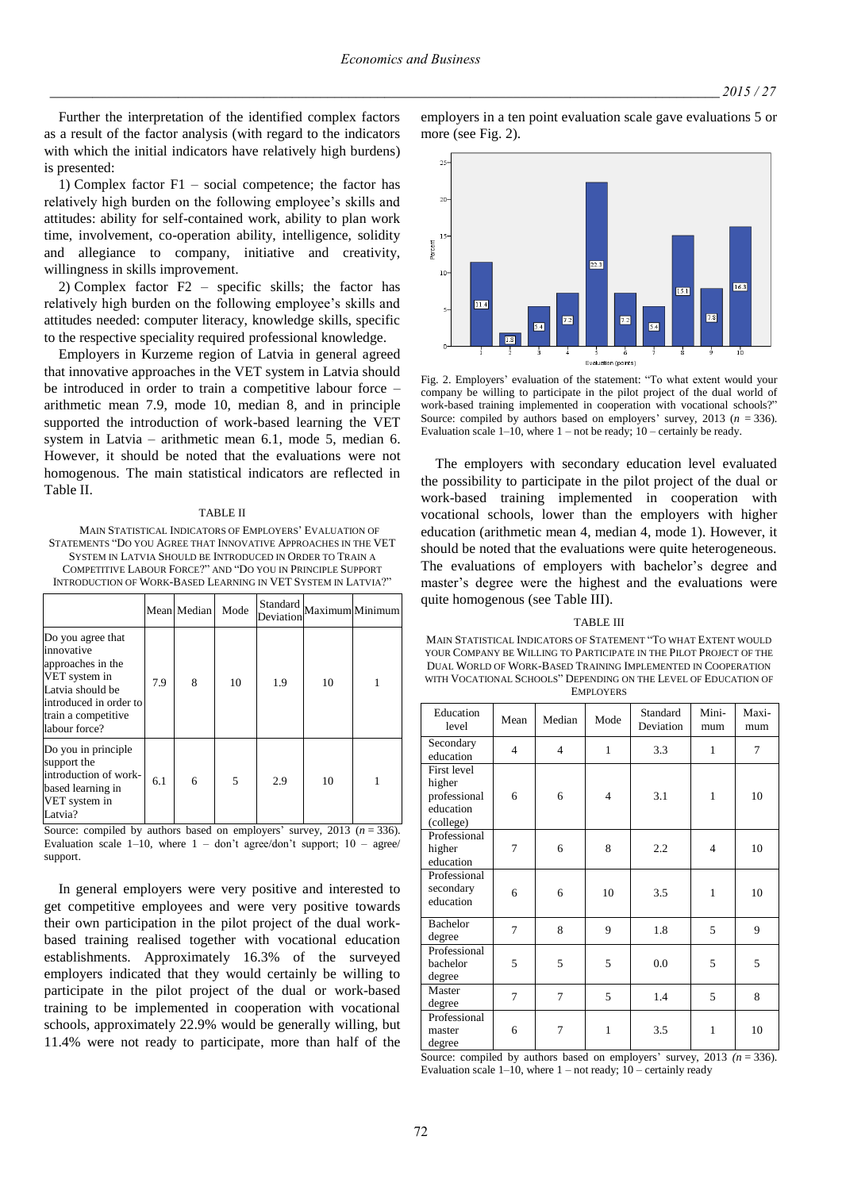Further the interpretation of the identified complex factors as a result of the factor analysis (with regard to the indicators with which the initial indicators have relatively high burdens) is presented:

1) Complex factor F1 – social competence; the factor has relatively high burden on the following employee's skills and attitudes: ability for self-contained work, ability to plan work time, involvement, co-operation ability, intelligence, solidity and allegiance to company, initiative and creativity, willingness in skills improvement.

2) Complex factor F2 – specific skills; the factor has relatively high burden on the following employee's skills and attitudes needed: computer literacy, knowledge skills, specific to the respective speciality required professional knowledge.

Employers in Kurzeme region of Latvia in general agreed that innovative approaches in the VET system in Latvia should be introduced in order to train a competitive labour force – arithmetic mean 7.9, mode 10, median 8, and in principle supported the introduction of work-based learning the VET system in Latvia – arithmetic mean 6.1, mode 5, median 6. However, it should be noted that the evaluations were not homogenous. The main statistical indicators are reflected in Table II.

#### TABLE II

MAIN STATISTICAL INDICATORS OF EMPLOYERS' EVALUATION OF STATEMENTS "DO YOU AGREE THAT INNOVATIVE APPROACHES IN THE VET SYSTEM IN LATVIA SHOULD BE INTRODUCED IN ORDER TO TRAIN A COMPETITIVE LABOUR FORCE?" AND "DO YOU IN PRINCIPLE SUPPORT INTRODUCTION OF WORK-BASED LEARNING IN VET SYSTEM IN LATVIA?"

|                                                                                                                                                             |     | Mean Median | Mode |     |    | ${\it Standard}$<br>${\it Maximum}$<br>${\it Minimum}$ |
|-------------------------------------------------------------------------------------------------------------------------------------------------------------|-----|-------------|------|-----|----|--------------------------------------------------------|
| Do you agree that<br>innovative<br>approaches in the<br>VET system in<br>Latvia should be<br>introduced in order to<br>train a competitive<br>labour force? | 7.9 | 8           | 10   | 1.9 | 10 |                                                        |
| Do you in principle<br>support the<br>introduction of work-<br>based learning in<br>VET system in<br>Latvia?                                                | 6.1 | 6           | 5    | 2.9 | 10 |                                                        |

Source: compiled by authors based on employers' survey,  $2013$  ( $n = 336$ ). Evaluation scale  $1-10$ , where  $1 -$  don't agree/don't support;  $10 -$  agree/ support.

In general employers were very positive and interested to get competitive employees and were very positive towards their own participation in the pilot project of the dual workbased training realised together with vocational education establishments. Approximately 16.3% of the surveyed employers indicated that they would certainly be willing to participate in the pilot project of the dual or work-based training to be implemented in cooperation with vocational schools, approximately 22.9% would be generally willing, but 11.4% were not ready to participate, more than half of the



employers in a ten point evaluation scale gave evaluations 5 or

Fig. 2. Employers' evaluation of the statement: "To what extent would your company be willing to participate in the pilot project of the dual world of work-based training implemented in cooperation with vocational schools?" Source: compiled by authors based on employers' survey, 2013 (*n* = 336). Evaluation scale  $1-10$ , where  $1$  – not be ready;  $10$  – certainly be ready.

The employers with secondary education level evaluated the possibility to participate in the pilot project of the dual or work-based training implemented in cooperation with vocational schools, lower than the employers with higher education (arithmetic mean 4, median 4, mode 1). However, it should be noted that the evaluations were quite heterogeneous. The evaluations of employers with bachelor's degree and master's degree were the highest and the evaluations were quite homogenous (see Table III).

#### TABLE III

MAIN STATISTICAL INDICATORS OF STATEMENT "TO WHAT EXTENT WOULD YOUR COMPANY BE WILLING TO PARTICIPATE IN THE PILOT PROJECT OF THE DUAL WORLD OF WORK-BASED TRAINING IMPLEMENTED IN COOPERATION WITH VOCATIONAL SCHOOLS" DEPENDING ON THE LEVEL OF EDUCATION OF EMPLOYERS

| Education<br>level                                              | Mean           | Median                  | Mode           | Standard<br>Deviation | Mini-<br>mum   | Maxi-<br>mum |
|-----------------------------------------------------------------|----------------|-------------------------|----------------|-----------------------|----------------|--------------|
| Secondary<br>education                                          | $\overline{4}$ | $\overline{\mathbf{4}}$ | 1              | 3.3                   | 1              | 7            |
| First level<br>higher<br>professional<br>education<br>(college) | 6              | 6                       | $\overline{4}$ | 3.1                   | 1              | 10           |
| Professional<br>higher<br>education                             | 7              | 6                       | 8              | 2.2                   | $\overline{4}$ | 10           |
| Professional<br>secondary<br>education                          | 6              | 6                       | 10             | 3.5                   | 1              | 10           |
| <b>Bachelor</b><br>degree                                       | $\tau$         | 8                       | 9              | 1.8                   | 5              | 9            |
| Professional<br>bachelor<br>degree                              | 5              | 5                       | 5              | 0.0                   | 5              | 5            |
| Master<br>degree                                                | $\overline{7}$ | 7                       | 5              | 1.4                   | 5              | 8            |
| Professional<br>master<br>degree                                | 6              | 7                       | 1              | 3.5                   | 1              | 10           |

Source: compiled by authors based on employers' survey, 2013 (n = 336). Evaluation scale  $1-10$ , where  $1-$  not ready;  $10-$  certainly ready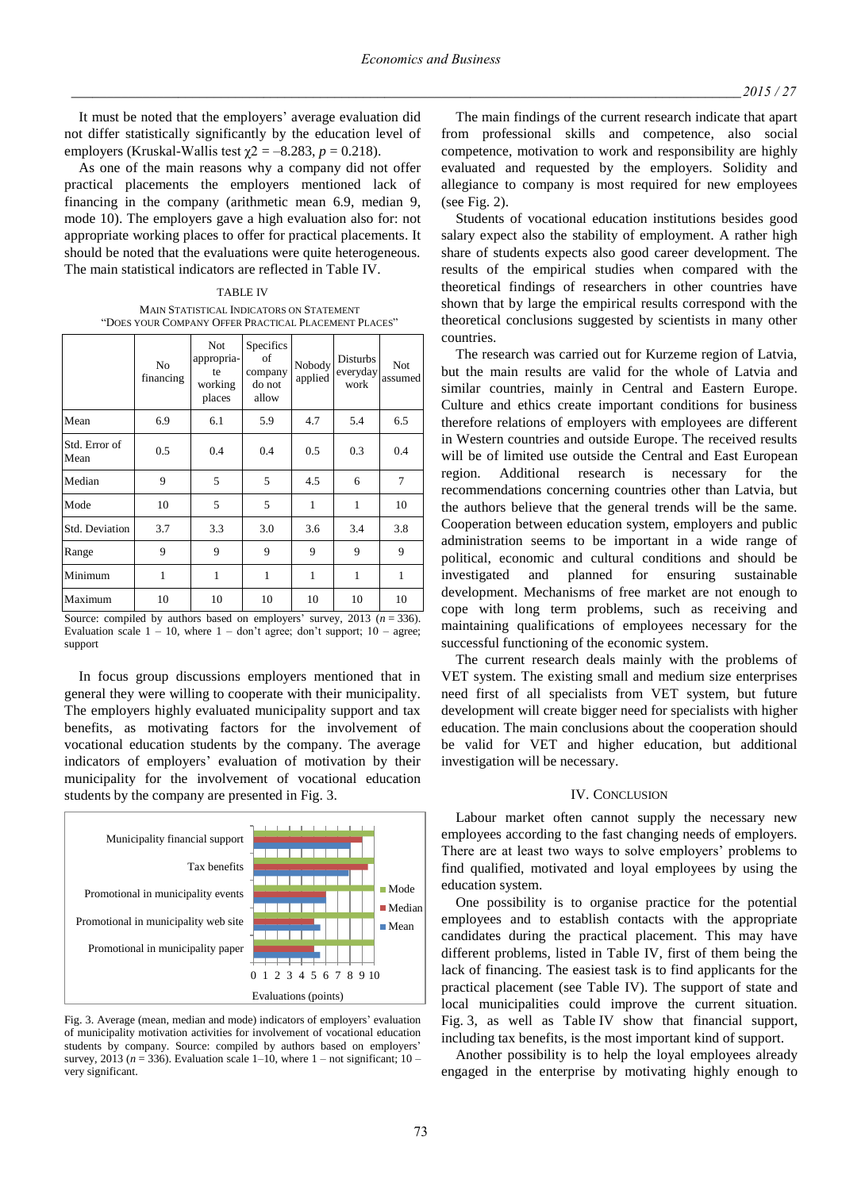It must be noted that the employers' average evaluation did not differ statistically significantly by the education level of employers (Kruskal-Wallis test  $\chi$ 2 = -8.283, *p* = 0.218).

As one of the main reasons why a company did not offer practical placements the employers mentioned lack of financing in the company (arithmetic mean 6.9, median 9, mode 10). The employers gave a high evaluation also for: not appropriate working places to offer for practical placements. It should be noted that the evaluations were quite heterogeneous. The main statistical indicators are reflected in Table IV.

TABLE IV MAIN STATISTICAL INDICATORS ON STATEMENT "DOES YOUR COMPANY OFFER PRACTICAL PLACEMENT PLACES"

|                       | N <sub>0</sub><br>financing | <b>Not</b><br>appropria-<br>te<br>working<br>places | Specifics<br>οf<br>company<br>do not<br>allow | Nobody<br>applied   | Disturbs<br>everyday<br>work | <b>Not</b><br>assumed |
|-----------------------|-----------------------------|-----------------------------------------------------|-----------------------------------------------|---------------------|------------------------------|-----------------------|
| Mean                  | 6.9                         | 6.1                                                 | 5.9                                           | 4.7                 | 5.4                          | 6.5                   |
| Std. Error of<br>Mean | 0.5                         | 0.4                                                 | 0.4                                           | 0.5                 | 0.3                          | 0.4                   |
| Median                | 9                           | 5                                                   | 5                                             | 4.5                 | 6                            | $\overline{7}$        |
| Mode                  | 10                          | 5                                                   | 5                                             | $\mathbf{1}$        | $\mathbf{1}$                 | 10                    |
| Std. Deviation        | 3.7                         | 3.3                                                 | 3.0                                           | 3.6                 | 3.4                          | 3.8                   |
| Range                 | 9                           | 9                                                   | 9                                             | 9                   | 9                            | 9                     |
| Minimum               | 1                           | $\mathbf{1}$                                        | $\mathbf{1}$                                  | $\mathbf{1}$        | 1                            | $\mathbf{1}$          |
| Maximum<br>$\sim$     | 10                          | 10                                                  | 10<br>$\mathbf{1}$                            | 10<br>$\rightarrow$ | 10<br>$0.012 \times$         | 10<br>222             |

Source: compiled by authors based on employers' survey, 2013 (*n* = 336). Evaluation scale  $1 - 10$ , where  $1 -$  don't agree; don't support;  $10 -$  agree; support

In focus group discussions employers mentioned that in general they were willing to cooperate with their municipality. The employers highly evaluated municipality support and tax benefits, as motivating factors for the involvement of vocational education students by the company. The average indicators of employers' evaluation of motivation by their municipality for the involvement of vocational education students by the company are presented in Fig. 3.



Fig. 3. Average (mean, median and mode) indicators of employers' evaluation of municipality motivation activities for involvement of vocational education students by company. Source: compiled by authors based on employers' survey, 2013 ( $n = 336$ ). Evaluation scale 1–10, where 1 – not significant; 10 – very significant.

The main findings of the current research indicate that apart from professional skills and competence, also social competence, motivation to work and responsibility are highly evaluated and requested by the employers. Solidity and allegiance to company is most required for new employees (see Fig. 2).

Students of vocational education institutions besides good salary expect also the stability of employment. A rather high share of students expects also good career development. The results of the empirical studies when compared with the theoretical findings of researchers in other countries have shown that by large the empirical results correspond with the theoretical conclusions suggested by scientists in many other countries.

The research was carried out for Kurzeme region of Latvia, but the main results are valid for the whole of Latvia and similar countries, mainly in Central and Eastern Europe. Culture and ethics create important conditions for business therefore relations of employers with employees are different in Western countries and outside Europe. The received results will be of limited use outside the Central and East European region. Additional research is necessary for the recommendations concerning countries other than Latvia, but the authors believe that the general trends will be the same. Cooperation between education system, employers and public administration seems to be important in a wide range of political, economic and cultural conditions and should be investigated and planned for ensuring sustainable development. Mechanisms of free market are not enough to cope with long term problems, such as receiving and maintaining qualifications of employees necessary for the successful functioning of the economic system.

The current research deals mainly with the problems of VET system. The existing small and medium size enterprises need first of all specialists from VET system, but future development will create bigger need for specialists with higher education. The main conclusions about the cooperation should be valid for VET and higher education, but additional investigation will be necessary.

## IV. CONCLUSION

Labour market often cannot supply the necessary new employees according to the fast changing needs of employers. There are at least two ways to solve employers' problems to find qualified, motivated and loyal employees by using the education system.

One possibility is to organise practice for the potential employees and to establish contacts with the appropriate candidates during the practical placement. This may have different problems, listed in Table IV, first of them being the lack of financing. The easiest task is to find applicants for the practical placement (see Table IV). The support of state and local municipalities could improve the current situation. Fig. 3, as well as Table IV show that financial support, including tax benefits, is the most important kind of support.

Another possibility is to help the loyal employees already engaged in the enterprise by motivating highly enough to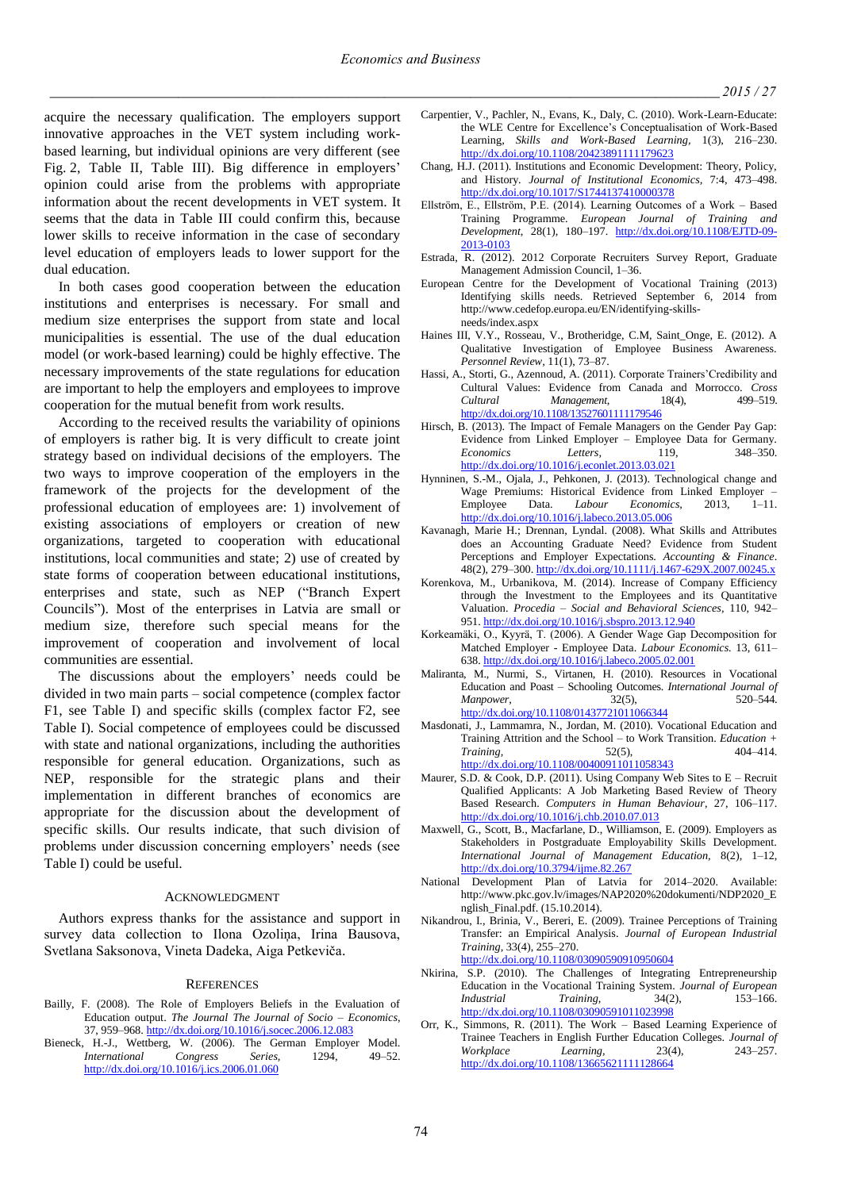acquire the necessary qualification. The employers support innovative approaches in the VET system including workbased learning, but individual opinions are very different (see Fig. 2, Table II, Table III). Big difference in employers' opinion could arise from the problems with appropriate information about the recent developments in VET system. It seems that the data in Table III could confirm this, because lower skills to receive information in the case of secondary level education of employers leads to lower support for the dual education.

In both cases good cooperation between the education institutions and enterprises is necessary. For small and medium size enterprises the support from state and local municipalities is essential. The use of the dual education model (or work-based learning) could be highly effective. The necessary improvements of the state regulations for education are important to help the employers and employees to improve cooperation for the mutual benefit from work results.

According to the received results the variability of opinions of employers is rather big. It is very difficult to create joint strategy based on individual decisions of the employers. The two ways to improve cooperation of the employers in the framework of the projects for the development of the professional education of employees are: 1) involvement of existing associations of employers or creation of new organizations, targeted to cooperation with educational institutions, local communities and state; 2) use of created by state forms of cooperation between educational institutions, enterprises and state, such as NEP ("Branch Expert Councils"). Most of the enterprises in Latvia are small or medium size, therefore such special means for the improvement of cooperation and involvement of local communities are essential.

The discussions about the employers' needs could be divided in two main parts – social competence (complex factor F1, see Table I) and specific skills (complex factor F2, see Table I). Social competence of employees could be discussed with state and national organizations, including the authorities responsible for general education. Organizations, such as NEP, responsible for the strategic plans and their implementation in different branches of economics are appropriate for the discussion about the development of specific skills. Our results indicate, that such division of problems under discussion concerning employers' needs (see Table I) could be useful.

## ACKNOWLEDGMENT

Authors express thanks for the assistance and support in survey data collection to Ilona Ozoliņa, Irina Bausova, Svetlana Saksonova, Vineta Dadeka, Aiga Petkeviča.

## **REFERENCES**

- Bailly, F. (2008). The Role of Employers Beliefs in the Evaluation of Education output. *The Journal The Journal of Socio – Economics*, 37, 959–968[. http://dx.doi.org/10.1016/j.socec.2006.12.083](http://dx.doi.org/10.1016/j.socec.2006.12.083)
- Bieneck, H.-J., Wettberg, W. (2006). The German Employer Model. *International Congress Series,* 1294, 49–52. <http://dx.doi.org/10.1016/j.ics.2006.01.060>
- Carpentier, V., Pachler, N., Evans, K., Daly, C. (2010). Work-Learn-Educate: the WLE Centre for Excellence's Conceptualisation of Work-Based Learning, *Skills and Work-Based Learning,* 1(3), 216–230. <http://dx.doi.org/10.1108/20423891111179623>
- Chang, H.J. (2011). Institutions and Economic Development: Theory, Policy, and History. *Journal of Institutional Economics,* 7:4, 473–498. <http://dx.doi.org/10.1017/S1744137410000378>
- Ellström, E., Ellström, P.E. (2014). Learning Outcomes of a Work Based Training Programme. *European Journal of Training and Development,* 28(1), 180–197. [http://dx.doi.org/10.1108/EJTD-09-](http://dx.doi.org/10.1108/EJTD-09-2013-0103) [2013-0103](http://dx.doi.org/10.1108/EJTD-09-2013-0103)
- Estrada, R. (2012). 2012 Corporate Recruiters Survey Report, Graduate Management Admission Council, 1–36.
- European Centre for the Development of Vocational Training (2013) Identifying skills needs. Retrieved September 6, 2014 from http://www.cedefop.europa.eu/EN/identifying-skillsneeds/index.aspx
- Haines III, V.Y., Rosseau, V., Brotheridge, C.M, Saint\_Onge, E. (2012). A Qualitative Investigation of Employee Business Awareness. *Personnel Review,* 11(1), 73–87.
- Hassi, A., Storti, G., Azennoud, A. (2011). Corporate Trainers'Credibility and Cultural Values: Evidence from Canada and Morrocco. *Cross Cultural Management,* 18(4), 499–519. <http://dx.doi.org/10.1108/13527601111179546>
- Hirsch, B. (2013). The Impact of Female Managers on the Gender Pay Gap: Evidence from Linked Employer – Employee Data for Germany. *Economics Letters,* 119, 348–350. <http://dx.doi.org/10.1016/j.econlet.2013.03.021>
- Hynninen, S.-M., Ojala, J., Pehkonen, J. (2013). Technological change and Wage Premiums: Historical Evidence from Linked Employer -Employee Data. *Labour Economics,* 2013, 1–11. <http://dx.doi.org/10.1016/j.labeco.2013.05.006>
- Kavanagh, Marie H.; Drennan, Lyndal. (2008). What Skills and Attributes does an Accounting Graduate Need? Evidence from Student Perceptions and Employer Expectations. *Accounting & Finance*. 48(2), 279–300[. http://dx.doi.org/10.1111/j.1467-629X.2007.00245.x](http://dx.doi.org/10.1111/j.1467-629X.2007.00245.x)
- Korenkova, M., Urbanikova, M. (2014). Increase of Company Efficiency through the Investment to the Employees and its Quantitative Valuation. *Procedia – Social and Behavioral Sciences,* 110, 942– 951[. http://dx.doi.org/10.1016/j.sbspro.2013.12.940](http://dx.doi.org/10.1016/j.sbspro.2013.12.940)
- Korkeamäki, O., Kyyrä, T. (2006). A Gender Wage Gap Decomposition for Matched Employer - Employee Data. *Labour Economics.* 13, 611– 638[. http://dx.doi.org/10.1016/j.labeco.2005.02.001](http://dx.doi.org/10.1016/j.labeco.2005.02.001)
- Maliranta, M., Nurmi, S., Virtanen, H. (2010). Resources in Vocational Education and Poast – Schooling Outcomes. *International Journal of Manpower,* 32(5), 520–544. <http://dx.doi.org/10.1108/01437721011066344>
- Masdonati, J., Lammamra, N., Jordan, M. (2010). Vocational Education and Training Attrition and the School – to Work Transition. *Education + Training,* 52(5), 404–414. <http://dx.doi.org/10.1108/00400911011058343>
- Maurer, S.D. & Cook, D.P. (2011). Using Company Web Sites to  $E Recruit$ Qualified Applicants: A Job Marketing Based Review of Theory Based Research. *Computers in Human Behaviour*, 27, 106–117. <http://dx.doi.org/10.1016/j.chb.2010.07.013>
- Maxwell, G., Scott, B., Macfarlane, D., Williamson, E. (2009). Employers as Stakeholders in Postgraduate Employability Skills Development. *International Journal of Management Education,* 8(2), 1–12, <http://dx.doi.org/10.3794/ijme.82.267>
- National Development Plan of Latvia for 2014–2020. Available: http://www.pkc.gov.lv/images/NAP2020%20dokumenti/NDP2020\_E nglish\_Final.pdf. (15.10.2014).
- Nikandrou, I., Brinia, V., Bereri, E. (2009). Trainee Perceptions of Training Transfer: an Empirical Analysis. *Journal of European Industrial Training,* 33(4), 255–270. <http://dx.doi.org/10.1108/03090590910950604>
- Nkirina, S.P. (2010). The Challenges of Integrating Entrepreneurship Education in the Vocational Training System. *Journal of European Industrial Training,* 34(2), 153–166. <http://dx.doi.org/10.1108/03090591011023998>
- Orr, K., Simmons, R. (2011). The Work Based Learning Experience of Trainee Teachers in English Further Education Colleges. *Journal of Workplace Learning,* 23(4), 243–257. <http://dx.doi.org/10.1108/13665621111128664>